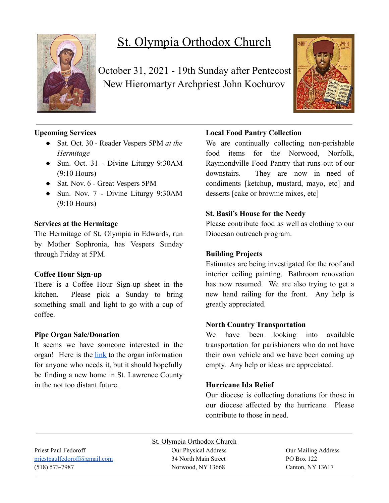

# St. Olympia Orthodox Church

October 31, 2021 - 19th Sunday after Pentecost New Hieromartyr Archpriest John Kochurov



# **Upcoming Services**

- Sat. Oct. 30 Reader Vespers 5PM *at the Hermitage*
- Sun. Oct. 31 Divine Liturgy 9:30AM (9:10 Hours)
- Sat. Nov. 6 Great Vespers 5PM
- Sun. Nov. 7 Divine Liturgy 9:30AM (9:10 Hours)

#### **Services at the Hermitage**

The Hermitage of St. Olympia in Edwards, run by Mother Sophronia, has Vespers Sunday through Friday at 5PM.

# **Coffee Hour Sign-up**

There is a Coffee Hour Sign-up sheet in the kitchen. Please pick a Sunday to bring something small and light to go with a cup of coffee.

# **Pipe Organ Sale/Donation**

It seems we have someone interested in the organ! Here is the [link](https://www.carlsonorgans.com/carlson-pipe-organ.html?fbclid=IwAR0AP0R6-ZPq_msuHfolTcWBIFhgxMi9NY6dlXykcgRBM4j3qId0FzVWnes) to the organ information for anyone who needs it, but it should hopefully be finding a new home in St. Lawrence County in the not too distant future.

# **Local Food Pantry Collection**

We are continually collecting non-perishable food items for the Norwood, Norfolk, Raymondville Food Pantry that runs out of our downstairs. They are now in need of condiments [ketchup, mustard, mayo, etc] and desserts [cake or brownie mixes, etc]

#### **St. Basil's House for the Needy**

Please contribute food as well as clothing to our Diocesan outreach program.

# **Building Projects**

Estimates are being investigated for the roof and interior ceiling painting. Bathroom renovation has now resumed. We are also trying to get a new hand railing for the front. Any help is greatly appreciated.

# **North Country Transportation**

We have been looking into available transportation for parishioners who do not have their own vehicle and we have been coming up empty. Any help or ideas are appreciated.

# **Hurricane Ida Relief**

Our diocese is collecting donations for those in our diocese affected by the hurricane. Please contribute to those in need.

Priest Paul Fedoroff Our Physical Address Our Mailing Address [priestpaulfedoroff@gmail.com](mailto:priestpaulfedoroff@gmail.com) 34 North Main Street PO Box 122 (518) 573-7987 Norwood, NY 13668 Canton, NY 13617

St. Olympia Orthodox Church